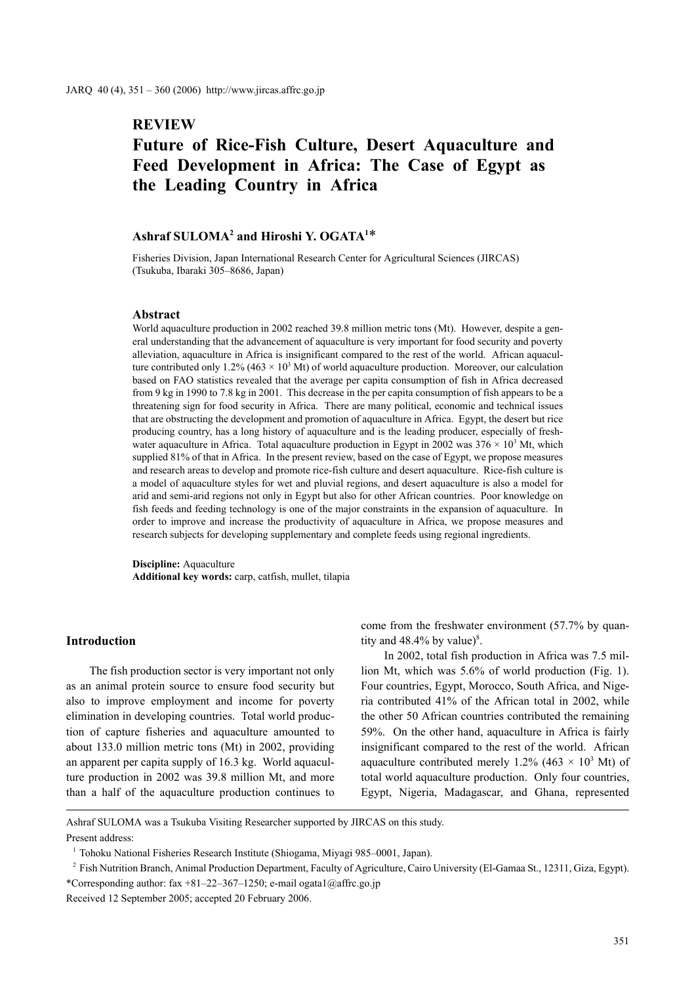# **REVIEW**

# **Future of Rice-Fish Culture, Desert Aquaculture and Feed Development in Africa: The Case of Egypt as the Leading Country in Africa**

# **Ashraf SULOMA2 and Hiroshi Y. OGATA1** \*

Fisheries Division, Japan International Research Center for Agricultural Sciences (JIRCAS) (Tsukuba, Ibaraki 305–8686, Japan)

#### **Abstract**

World aquaculture production in 2002 reached 39.8 million metric tons (Mt). However, despite a general understanding that the advancement of aquaculture is very important for food security and poverty alleviation, aquaculture in Africa is insignificant compared to the rest of the world. African aquaculture contributed only 1.2% (463  $\times$  10<sup>3</sup> Mt) of world aquaculture production. Moreover, our calculation based on FAO statistics revealed that the average per capita consumption of fish in Africa decreased from 9 kg in 1990 to 7.8 kg in 2001. This decrease in the per capita consumption of fish appears to be a threatening sign for food security in Africa. There are many political, economic and technical issues that are obstructing the development and promotion of aquaculture in Africa. Egypt, the desert but rice producing country, has a long history of aquaculture and is the leading producer, especially of freshwater aquaculture in Africa. Total aquaculture production in Egypt in 2002 was  $376 \times 10^3$  Mt, which supplied 81% of that in Africa. In the present review, based on the case of Egypt, we propose measures and research areas to develop and promote rice-fish culture and desert aquaculture. Rice-fish culture is a model of aquaculture styles for wet and pluvial regions, and desert aquaculture is also a model for arid and semi-arid regions not only in Egypt but also for other African countries. Poor knowledge on fish feeds and feeding technology is one of the major constraints in the expansion of aquaculture. In order to improve and increase the productivity of aquaculture in Africa, we propose measures and research subjects for developing supplementary and complete feeds using regional ingredients.

**Discipline:** Aquaculture **Additional key words:** carp, catfish, mullet, tilapia

## **Introduction**

The fish production sector is very important not only as an animal protein source to ensure food security but also to improve employment and income for poverty elimination in developing countries. Total world production of capture fisheries and aquaculture amounted to about 133.0 million metric tons (Mt) in 2002, providing an apparent per capita supply of 16.3 kg. World aquaculture production in 2002 was 39.8 million Mt, and more than a half of the aquaculture production continues to come from the freshwater environment (57.7% by quantity and  $48.4\%$  by value)<sup>8</sup>.

In 2002, total fish production in Africa was 7.5 million Mt, which was 5.6% of world production (Fig. 1). Four countries, Egypt, Morocco, South Africa, and Nigeria contributed 41% of the African total in 2002, while the other 50 African countries contributed the remaining 59%. On the other hand, aquaculture in Africa is fairly insignificant compared to the rest of the world. African aquaculture contributed merely 1.2% (463  $\times$  10<sup>3</sup> Mt) of total world aquaculture production. Only four countries, Egypt, Nigeria, Madagascar, and Ghana, represented

Ashraf SULOMA was a Tsukuba Visiting Researcher supported by JIRCAS on this study. Present address:

<sup>2</sup> Fish Nutrition Branch, Animal Production Department, Faculty of Agriculture, Cairo University (El-Gamaa St., 12311, Giza, Egypt). \*Corresponding author: fax +81–22–367–1250; e-mail ogata1@affrc.go.jp

Received 12 September 2005; accepted 20 February 2006.

<sup>&</sup>lt;sup>1</sup> Tohoku National Fisheries Research Institute (Shiogama, Miyagi 985–0001, Japan).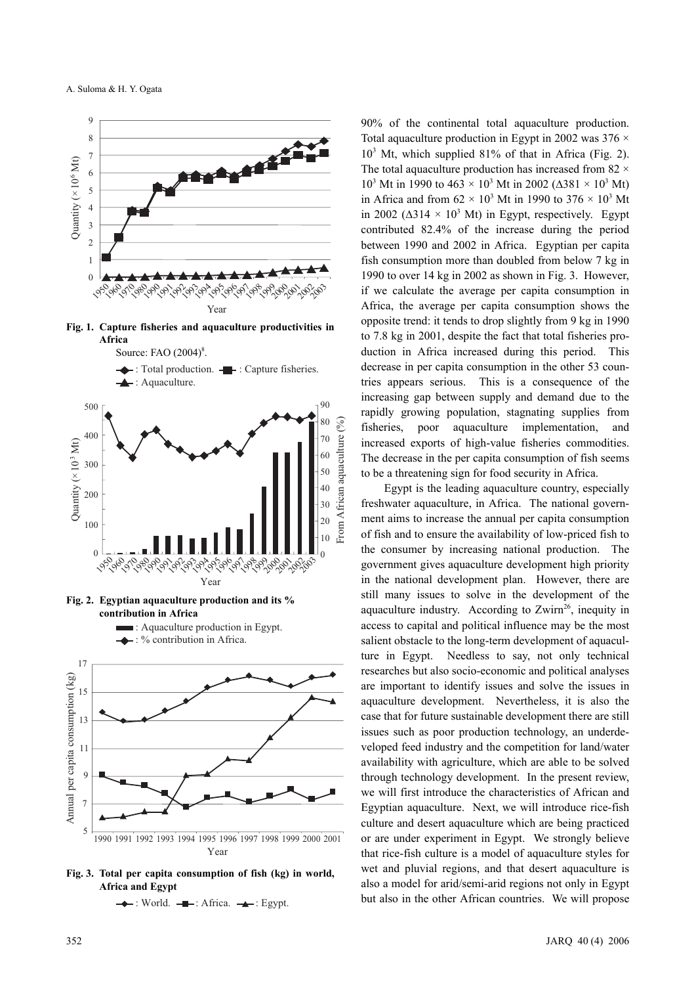





**Fig. 2. Egyptian aquaculture production and its % contribution in Africa**



: Aquaculture production in Egypt.

**Fig. 3. Total per capita consumption of fish (kg) in world, Africa and Egypt**

 $\rightarrow$ : World.  $\rightarrow$ : Africa.  $\rightarrow$ : Egypt.

90% of the continental total aquaculture production. Total aquaculture production in Egypt in 2002 was  $376 \times$ 103 Mt, which supplied 81% of that in Africa (Fig. 2). The total aquaculture production has increased from 82  $\times$  $10^3$  Mt in 1990 to 463 × 10<sup>3</sup> Mt in 2002 (Δ381 × 10<sup>3</sup> Mt) in Africa and from  $62 \times 10^3$  Mt in 1990 to  $376 \times 10^3$  Mt in 2002 ( $\Delta$ 314 × 10<sup>3</sup> Mt) in Egypt, respectively. Egypt contributed 82.4% of the increase during the period between 1990 and 2002 in Africa. Egyptian per capita fish consumption more than doubled from below 7 kg in 1990 to over 14 kg in 2002 as shown in Fig. 3. However, if we calculate the average per capita consumption in Africa, the average per capita consumption shows the opposite trend: it tends to drop slightly from 9 kg in 1990 to 7.8 kg in 2001, despite the fact that total fisheries production in Africa increased during this period. This decrease in per capita consumption in the other 53 countries appears serious. This is a consequence of the increasing gap between supply and demand due to the rapidly growing population, stagnating supplies from fisheries, poor aquaculture implementation, and increased exports of high-value fisheries commodities. The decrease in the per capita consumption of fish seems to be a threatening sign for food security in Africa.

Egypt is the leading aquaculture country, especially freshwater aquaculture, in Africa. The national government aims to increase the annual per capita consumption of fish and to ensure the availability of low-priced fish to the consumer by increasing national production. The government gives aquaculture development high priority in the national development plan. However, there are still many issues to solve in the development of the aquaculture industry. According to  $Zwirm^{26}$ , inequity in access to capital and political influence may be the most salient obstacle to the long-term development of aquaculture in Egypt. Needless to say, not only technical researches but also socio-economic and political analyses are important to identify issues and solve the issues in aquaculture development. Nevertheless, it is also the case that for future sustainable development there are still issues such as poor production technology, an underdeveloped feed industry and the competition for land/water availability with agriculture, which are able to be solved through technology development. In the present review, we will first introduce the characteristics of African and Egyptian aquaculture. Next, we will introduce rice-fish culture and desert aquaculture which are being practiced or are under experiment in Egypt. We strongly believe that rice-fish culture is a model of aquaculture styles for wet and pluvial regions, and that desert aquaculture is also a model for arid/semi-arid regions not only in Egypt but also in the other African countries. We will propose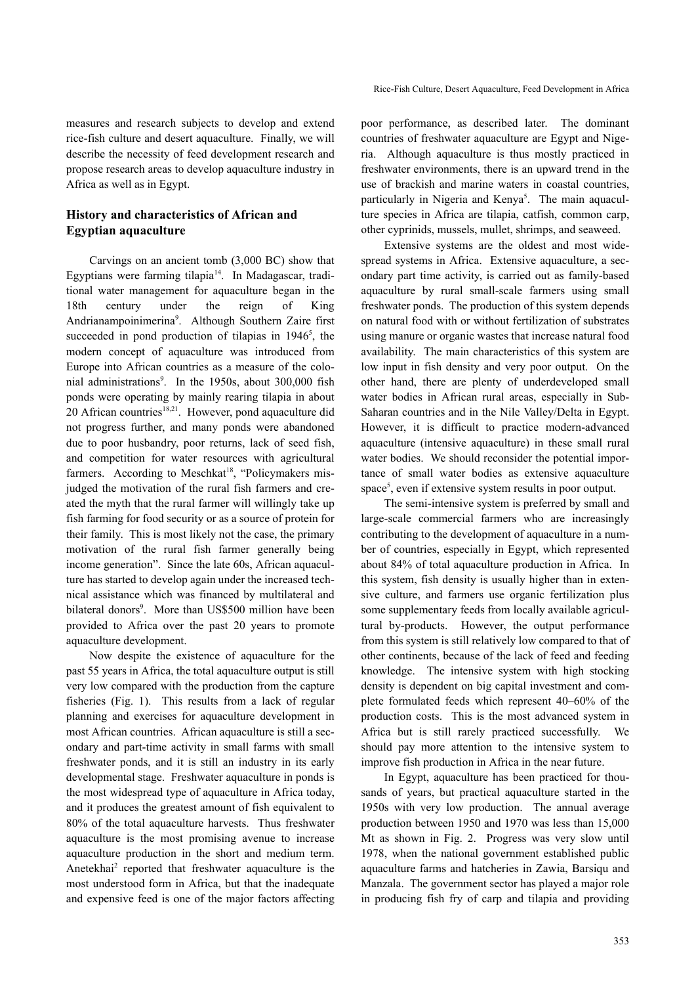## **History and characteristics of African and Egyptian aquaculture**

Carvings on an ancient tomb (3,000 BC) show that Egyptians were farming tilapia $14$ . In Madagascar, traditional water management for aquaculture began in the 18th century under the reign of King Andrianampoinimerina<sup>9</sup>. Although Southern Zaire first succeeded in pond production of tilapias in  $1946^5$ , the modern concept of aquaculture was introduced from Europe into African countries as a measure of the colonial administrations<sup>9</sup>. In the 1950s, about 300,000 fish ponds were operating by mainly rearing tilapia in about 20 African countries<sup>18,21</sup>. However, pond aquaculture did not progress further, and many ponds were abandoned due to poor husbandry, poor returns, lack of seed fish, and competition for water resources with agricultural farmers. According to Meschkat<sup>18</sup>, "Policymakers misjudged the motivation of the rural fish farmers and created the myth that the rural farmer will willingly take up fish farming for food security or as a source of protein for their family. This is most likely not the case, the primary motivation of the rural fish farmer generally being income generation". Since the late 60s, African aquaculture has started to develop again under the increased technical assistance which was financed by multilateral and bilateral donors<sup>9</sup>. More than US\$500 million have been provided to Africa over the past 20 years to promote aquaculture development.

Now despite the existence of aquaculture for the past 55 years in Africa, the total aquaculture output is still very low compared with the production from the capture fisheries (Fig. 1). This results from a lack of regular planning and exercises for aquaculture development in most African countries. African aquaculture is still a secondary and part-time activity in small farms with small freshwater ponds, and it is still an industry in its early developmental stage. Freshwater aquaculture in ponds is the most widespread type of aquaculture in Africa today, and it produces the greatest amount of fish equivalent to 80% of the total aquaculture harvests. Thus freshwater aquaculture is the most promising avenue to increase aquaculture production in the short and medium term. Anetekhai<sup>2</sup> reported that freshwater aquaculture is the most understood form in Africa, but that the inadequate and expensive feed is one of the major factors affecting poor performance, as described later. The dominant countries of freshwater aquaculture are Egypt and Nigeria. Although aquaculture is thus mostly practiced in freshwater environments, there is an upward trend in the use of brackish and marine waters in coastal countries, particularly in Nigeria and Kenya<sup>5</sup>. The main aquaculture species in Africa are tilapia, catfish, common carp, other cyprinids, mussels, mullet, shrimps, and seaweed.

Extensive systems are the oldest and most widespread systems in Africa. Extensive aquaculture, a secondary part time activity, is carried out as family-based aquaculture by rural small-scale farmers using small freshwater ponds. The production of this system depends on natural food with or without fertilization of substrates using manure or organic wastes that increase natural food availability. The main characteristics of this system are low input in fish density and very poor output. On the other hand, there are plenty of underdeveloped small water bodies in African rural areas, especially in Sub-Saharan countries and in the Nile Valley/Delta in Egypt. However, it is difficult to practice modern-advanced aquaculture (intensive aquaculture) in these small rural water bodies. We should reconsider the potential importance of small water bodies as extensive aquaculture space<sup>5</sup>, even if extensive system results in poor output.

The semi-intensive system is preferred by small and large-scale commercial farmers who are increasingly contributing to the development of aquaculture in a number of countries, especially in Egypt, which represented about 84% of total aquaculture production in Africa. In this system, fish density is usually higher than in extensive culture, and farmers use organic fertilization plus some supplementary feeds from locally available agricultural by-products. However, the output performance from this system is still relatively low compared to that of other continents, because of the lack of feed and feeding knowledge. The intensive system with high stocking density is dependent on big capital investment and complete formulated feeds which represent 40–60% of the production costs. This is the most advanced system in Africa but is still rarely practiced successfully. We should pay more attention to the intensive system to improve fish production in Africa in the near future.

In Egypt, aquaculture has been practiced for thousands of years, but practical aquaculture started in the 1950s with very low production. The annual average production between 1950 and 1970 was less than 15,000 Mt as shown in Fig. 2. Progress was very slow until 1978, when the national government established public aquaculture farms and hatcheries in Zawia, Barsiqu and Manzala. The government sector has played a major role in producing fish fry of carp and tilapia and providing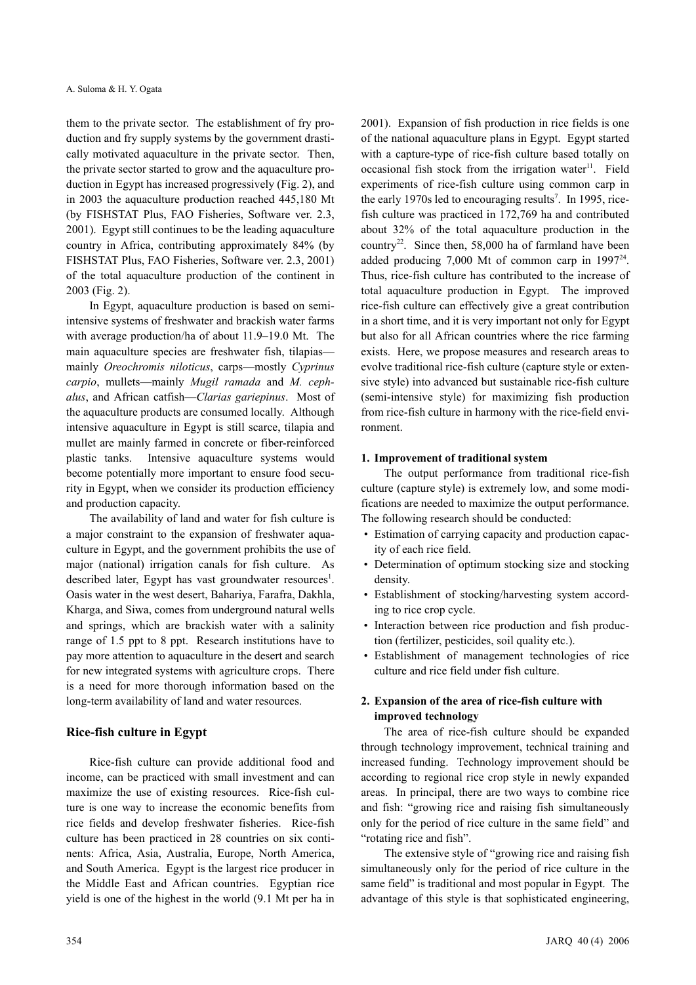them to the private sector. The establishment of fry production and fry supply systems by the government drastically motivated aquaculture in the private sector. Then, the private sector started to grow and the aquaculture production in Egypt has increased progressively (Fig. 2), and in 2003 the aquaculture production reached 445,180 Mt (by FISHSTAT Plus, FAO Fisheries, Software ver. 2.3, 2001). Egypt still continues to be the leading aquaculture country in Africa, contributing approximately 84% (by FISHSTAT Plus, FAO Fisheries, Software ver. 2.3, 2001) of the total aquaculture production of the continent in 2003 (Fig. 2).

In Egypt, aquaculture production is based on semiintensive systems of freshwater and brackish water farms with average production/ha of about 11.9–19.0 Mt. The main aquaculture species are freshwater fish, tilapias mainly *Oreochromis niloticus*, carps—mostly *Cyprinus carpio*, mullets—mainly *Mugil ramada* and *M. cephalus*, and African catfish—*Clarias gariepinus*. Most of the aquaculture products are consumed locally. Although intensive aquaculture in Egypt is still scarce, tilapia and mullet are mainly farmed in concrete or fiber-reinforced plastic tanks. Intensive aquaculture systems would become potentially more important to ensure food security in Egypt, when we consider its production efficiency and production capacity.

The availability of land and water for fish culture is a major constraint to the expansion of freshwater aquaculture in Egypt, and the government prohibits the use of major (national) irrigation canals for fish culture. As described later, Egypt has vast groundwater resources<sup>1</sup>. Oasis water in the west desert, Bahariya, Farafra, Dakhla, Kharga, and Siwa, comes from underground natural wells and springs, which are brackish water with a salinity range of 1.5 ppt to 8 ppt. Research institutions have to pay more attention to aquaculture in the desert and search for new integrated systems with agriculture crops. There is a need for more thorough information based on the long-term availability of land and water resources.

#### **Rice-fish culture in Egypt**

Rice-fish culture can provide additional food and income, can be practiced with small investment and can maximize the use of existing resources. Rice-fish culture is one way to increase the economic benefits from rice fields and develop freshwater fisheries. Rice-fish culture has been practiced in 28 countries on six continents: Africa, Asia, Australia, Europe, North America, and South America. Egypt is the largest rice producer in the Middle East and African countries. Egyptian rice yield is one of the highest in the world (9.1 Mt per ha in 2001). Expansion of fish production in rice fields is one of the national aquaculture plans in Egypt. Egypt started with a capture-type of rice-fish culture based totally on occasional fish stock from the irrigation water $11$ . Field experiments of rice-fish culture using common carp in the early 1970s led to encouraging results<sup>7</sup>. In 1995, ricefish culture was practiced in 172,769 ha and contributed about 32% of the total aquaculture production in the country<sup>22</sup>. Since then, 58,000 ha of farmland have been added producing 7,000 Mt of common carp in 199724. Thus, rice-fish culture has contributed to the increase of total aquaculture production in Egypt. The improved rice-fish culture can effectively give a great contribution in a short time, and it is very important not only for Egypt but also for all African countries where the rice farming exists. Here, we propose measures and research areas to evolve traditional rice-fish culture (capture style or extensive style) into advanced but sustainable rice-fish culture (semi-intensive style) for maximizing fish production from rice-fish culture in harmony with the rice-field environment.

#### **1. Improvement of traditional system**

The output performance from traditional rice-fish culture (capture style) is extremely low, and some modifications are needed to maximize the output performance. The following research should be conducted:

- Estimation of carrying capacity and production capacity of each rice field.
- Determination of optimum stocking size and stocking density.
- Establishment of stocking/harvesting system according to rice crop cycle.
- Interaction between rice production and fish production (fertilizer, pesticides, soil quality etc.).
- Establishment of management technologies of rice culture and rice field under fish culture.

## **2. Expansion of the area of rice-fish culture with improved technology**

The area of rice-fish culture should be expanded through technology improvement, technical training and increased funding. Technology improvement should be according to regional rice crop style in newly expanded areas. In principal, there are two ways to combine rice and fish: "growing rice and raising fish simultaneously only for the period of rice culture in the same field" and "rotating rice and fish".

The extensive style of "growing rice and raising fish simultaneously only for the period of rice culture in the same field" is traditional and most popular in Egypt. The advantage of this style is that sophisticated engineering,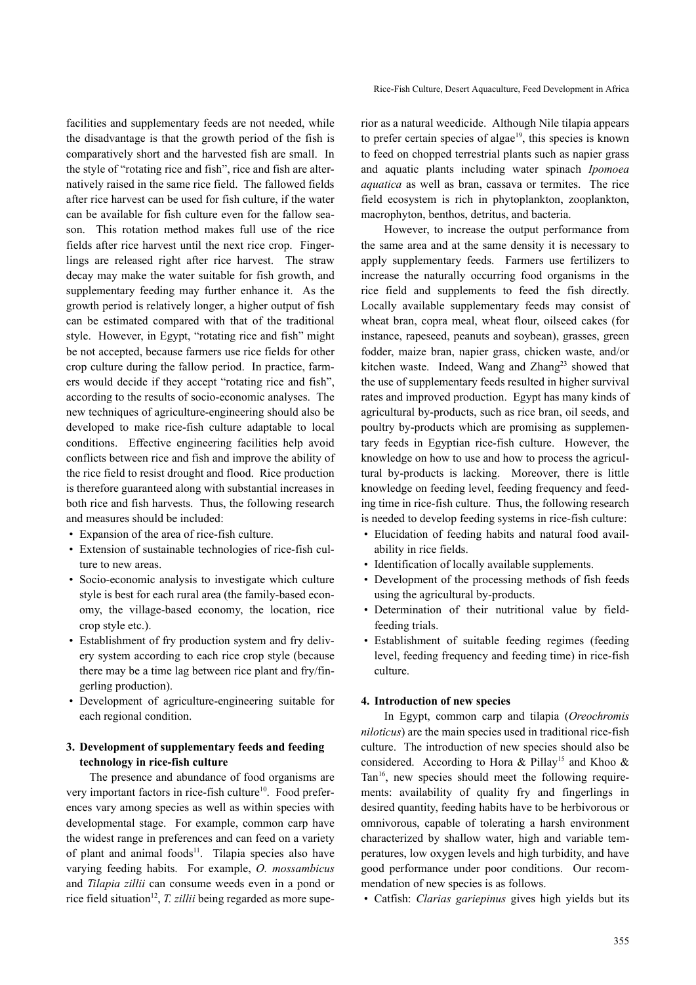facilities and supplementary feeds are not needed, while the disadvantage is that the growth period of the fish is comparatively short and the harvested fish are small. In the style of "rotating rice and fish", rice and fish are alternatively raised in the same rice field. The fallowed fields after rice harvest can be used for fish culture, if the water can be available for fish culture even for the fallow season. This rotation method makes full use of the rice fields after rice harvest until the next rice crop. Fingerlings are released right after rice harvest. The straw decay may make the water suitable for fish growth, and supplementary feeding may further enhance it. As the growth period is relatively longer, a higher output of fish can be estimated compared with that of the traditional style. However, in Egypt, "rotating rice and fish" might be not accepted, because farmers use rice fields for other crop culture during the fallow period. In practice, farmers would decide if they accept "rotating rice and fish", according to the results of socio-economic analyses. The new techniques of agriculture-engineering should also be developed to make rice-fish culture adaptable to local conditions. Effective engineering facilities help avoid conflicts between rice and fish and improve the ability of the rice field to resist drought and flood. Rice production is therefore guaranteed along with substantial increases in both rice and fish harvests. Thus, the following research and measures should be included:

- Expansion of the area of rice-fish culture.
- Extension of sustainable technologies of rice-fish culture to new areas.
- Socio-economic analysis to investigate which culture style is best for each rural area (the family-based economy, the village-based economy, the location, rice crop style etc.).
- Establishment of fry production system and fry delivery system according to each rice crop style (because there may be a time lag between rice plant and fry/fingerling production).
- Development of agriculture-engineering suitable for each regional condition.

## **3. Development of supplementary feeds and feeding technology in rice-fish culture**

The presence and abundance of food organisms are very important factors in rice-fish culture<sup>10</sup>. Food preferences vary among species as well as within species with developmental stage. For example, common carp have the widest range in preferences and can feed on a variety of plant and animal foods $11$ . Tilapia species also have varying feeding habits. For example, *O. mossambicus* and *Tilapia zillii* can consume weeds even in a pond or rice field situation<sup>12</sup>, *T. zillii* being regarded as more superior as a natural weedicide. Although Nile tilapia appears to prefer certain species of algae<sup>19</sup>, this species is known to feed on chopped terrestrial plants such as napier grass and aquatic plants including water spinach *Ipomoea aquatica* as well as bran, cassava or termites. The rice field ecosystem is rich in phytoplankton, zooplankton, macrophyton, benthos, detritus, and bacteria.

However, to increase the output performance from the same area and at the same density it is necessary to apply supplementary feeds. Farmers use fertilizers to increase the naturally occurring food organisms in the rice field and supplements to feed the fish directly. Locally available supplementary feeds may consist of wheat bran, copra meal, wheat flour, oilseed cakes (for instance, rapeseed, peanuts and soybean), grasses, green fodder, maize bran, napier grass, chicken waste, and/or kitchen waste. Indeed, Wang and  $Zhanz^{23}$  showed that the use of supplementary feeds resulted in higher survival rates and improved production. Egypt has many kinds of agricultural by-products, such as rice bran, oil seeds, and poultry by-products which are promising as supplementary feeds in Egyptian rice-fish culture. However, the knowledge on how to use and how to process the agricultural by-products is lacking. Moreover, there is little knowledge on feeding level, feeding frequency and feeding time in rice-fish culture. Thus, the following research is needed to develop feeding systems in rice-fish culture:

- Elucidation of feeding habits and natural food availability in rice fields.
- Identification of locally available supplements.
- Development of the processing methods of fish feeds using the agricultural by-products.
- Determination of their nutritional value by fieldfeeding trials.
- Establishment of suitable feeding regimes (feeding level, feeding frequency and feeding time) in rice-fish culture.

#### **4. Introduction of new species**

In Egypt, common carp and tilapia (*Oreochromis niloticus*) are the main species used in traditional rice-fish culture. The introduction of new species should also be considered. According to Hora & Pillay<sup>15</sup> and Khoo & Tan16, new species should meet the following requirements: availability of quality fry and fingerlings in desired quantity, feeding habits have to be herbivorous or omnivorous, capable of tolerating a harsh environment characterized by shallow water, high and variable temperatures, low oxygen levels and high turbidity, and have good performance under poor conditions. Our recommendation of new species is as follows.

• Catfish: *Clarias gariepinus* gives high yields but its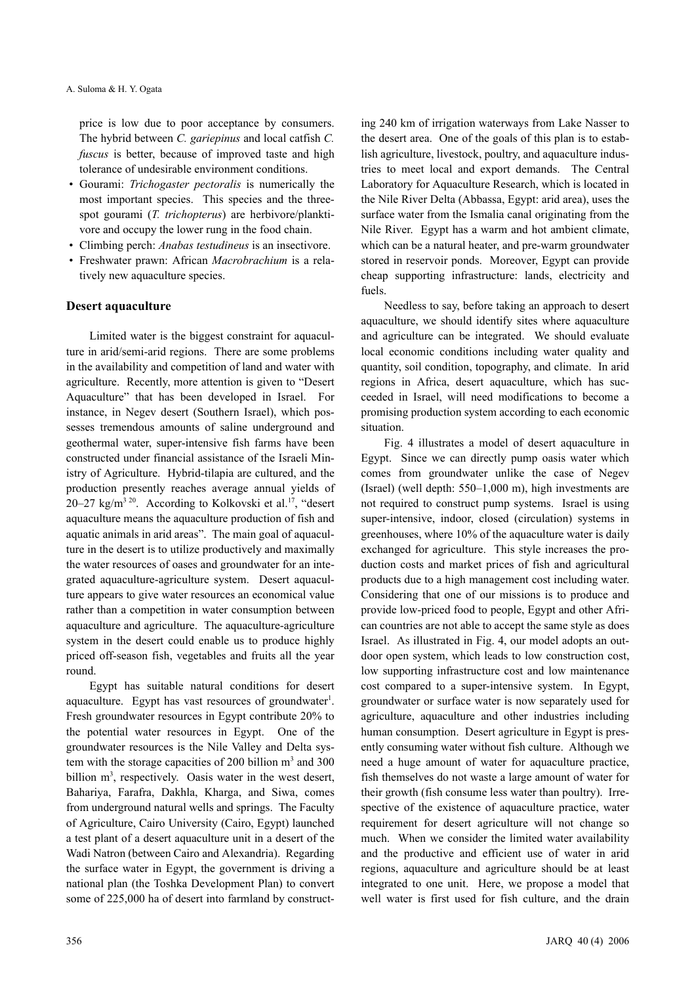price is low due to poor acceptance by consumers. The hybrid between *C. gariepinus* and local catfish *C. fuscus* is better, because of improved taste and high tolerance of undesirable environment conditions.

- Gourami: *Trichogaster pectoralis* is numerically the most important species. This species and the threespot gourami (*T. trichopterus*) are herbivore/planktivore and occupy the lower rung in the food chain.
- Climbing perch: *Anabas testudineus* is an insectivore.
- Freshwater prawn: African *Macrobrachium* is a relatively new aquaculture species.

#### **Desert aquaculture**

Limited water is the biggest constraint for aquaculture in arid/semi-arid regions. There are some problems in the availability and competition of land and water with agriculture. Recently, more attention is given to "Desert Aquaculture" that has been developed in Israel. For instance, in Negev desert (Southern Israel), which possesses tremendous amounts of saline underground and geothermal water, super-intensive fish farms have been constructed under financial assistance of the Israeli Ministry of Agriculture. Hybrid-tilapia are cultured, and the production presently reaches average annual yields of 20–27 kg/m<sup>3 20</sup>. According to Kolkovski et al.<sup>17</sup>, "desert aquaculture means the aquaculture production of fish and aquatic animals in arid areas". The main goal of aquaculture in the desert is to utilize productively and maximally the water resources of oases and groundwater for an integrated aquaculture-agriculture system. Desert aquaculture appears to give water resources an economical value rather than a competition in water consumption between aquaculture and agriculture. The aquaculture-agriculture system in the desert could enable us to produce highly priced off-season fish, vegetables and fruits all the year round.

Egypt has suitable natural conditions for desert aquaculture. Egypt has vast resources of groundwater<sup>1</sup>. Fresh groundwater resources in Egypt contribute 20% to the potential water resources in Egypt. One of the groundwater resources is the Nile Valley and Delta system with the storage capacities of 200 billion  $m<sup>3</sup>$  and 300 billion m<sup>3</sup>, respectively. Oasis water in the west desert, Bahariya, Farafra, Dakhla, Kharga, and Siwa, comes from underground natural wells and springs. The Faculty of Agriculture, Cairo University (Cairo, Egypt) launched a test plant of a desert aquaculture unit in a desert of the Wadi Natron (between Cairo and Alexandria). Regarding the surface water in Egypt, the government is driving a national plan (the Toshka Development Plan) to convert some of 225,000 ha of desert into farmland by construct-

ing 240 km of irrigation waterways from Lake Nasser to the desert area. One of the goals of this plan is to establish agriculture, livestock, poultry, and aquaculture industries to meet local and export demands. The Central Laboratory for Aquaculture Research, which is located in the Nile River Delta (Abbassa, Egypt: arid area), uses the surface water from the Ismalia canal originating from the Nile River. Egypt has a warm and hot ambient climate, which can be a natural heater, and pre-warm groundwater stored in reservoir ponds. Moreover, Egypt can provide cheap supporting infrastructure: lands, electricity and fuels.

Needless to say, before taking an approach to desert aquaculture, we should identify sites where aquaculture and agriculture can be integrated. We should evaluate local economic conditions including water quality and quantity, soil condition, topography, and climate. In arid regions in Africa, desert aquaculture, which has succeeded in Israel, will need modifications to become a promising production system according to each economic situation.

Fig. 4 illustrates a model of desert aquaculture in Egypt. Since we can directly pump oasis water which comes from groundwater unlike the case of Negev (Israel) (well depth: 550–1,000 m), high investments are not required to construct pump systems. Israel is using super-intensive, indoor, closed (circulation) systems in greenhouses, where 10% of the aquaculture water is daily exchanged for agriculture. This style increases the production costs and market prices of fish and agricultural products due to a high management cost including water. Considering that one of our missions is to produce and provide low-priced food to people, Egypt and other African countries are not able to accept the same style as does Israel. As illustrated in Fig. 4, our model adopts an outdoor open system, which leads to low construction cost, low supporting infrastructure cost and low maintenance cost compared to a super-intensive system. In Egypt, groundwater or surface water is now separately used for agriculture, aquaculture and other industries including human consumption. Desert agriculture in Egypt is presently consuming water without fish culture. Although we need a huge amount of water for aquaculture practice, fish themselves do not waste a large amount of water for their growth (fish consume less water than poultry). Irrespective of the existence of aquaculture practice, water requirement for desert agriculture will not change so much. When we consider the limited water availability and the productive and efficient use of water in arid regions, aquaculture and agriculture should be at least integrated to one unit. Here, we propose a model that well water is first used for fish culture, and the drain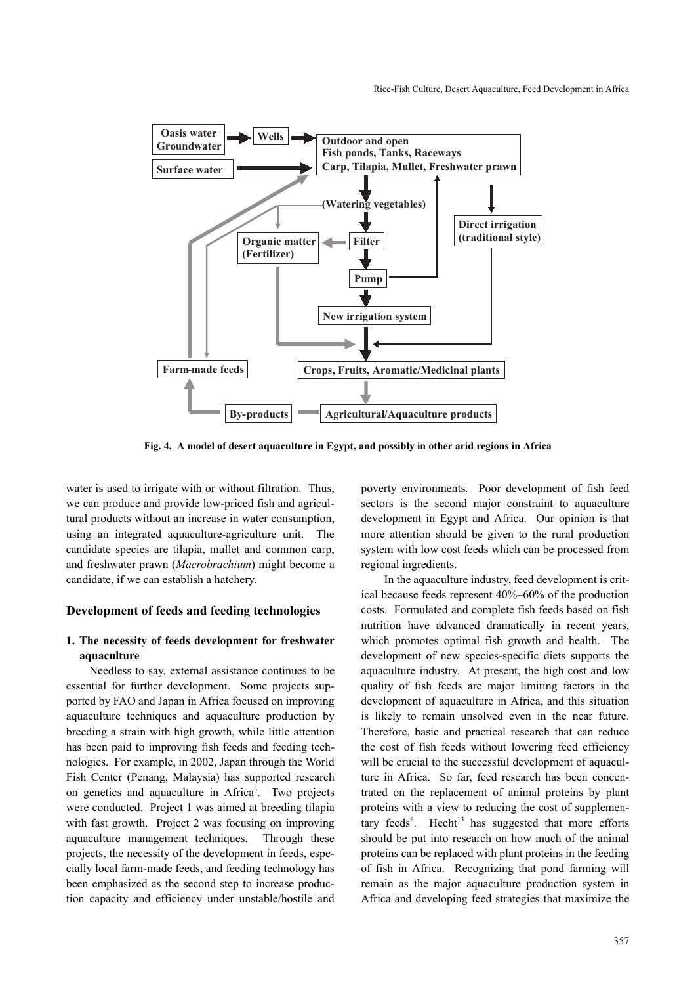

**Fig. 4. A model of desert aquaculture in Egypt, and possibly in other arid regions in Africa**

water is used to irrigate with or without filtration. Thus, we can produce and provide low-priced fish and agricultural products without an increase in water consumption, using an integrated aquaculture-agriculture unit. The candidate species are tilapia, mullet and common carp, and freshwater prawn (*Macrobrachium*) might become a candidate, if we can establish a hatchery.

#### **Development of feeds and feeding technologies**

## **1. The necessity of feeds development for freshwater aquaculture**

Needless to say, external assistance continues to be essential for further development. Some projects supported by FAO and Japan in Africa focused on improving aquaculture techniques and aquaculture production by breeding a strain with high growth, while little attention has been paid to improving fish feeds and feeding technologies. For example, in 2002, Japan through the World Fish Center (Penang, Malaysia) has supported research on genetics and aquaculture in Africa<sup>3</sup>. Two projects were conducted. Project 1 was aimed at breeding tilapia with fast growth. Project 2 was focusing on improving aquaculture management techniques. Through these projects, the necessity of the development in feeds, especially local farm-made feeds, and feeding technology has been emphasized as the second step to increase production capacity and efficiency under unstable/hostile and poverty environments. Poor development of fish feed sectors is the second major constraint to aquaculture development in Egypt and Africa. Our opinion is that more attention should be given to the rural production system with low cost feeds which can be processed from regional ingredients.

In the aquaculture industry, feed development is critical because feeds represent 40%–60% of the production costs. Formulated and complete fish feeds based on fish nutrition have advanced dramatically in recent years, which promotes optimal fish growth and health. The development of new species-specific diets supports the aquaculture industry. At present, the high cost and low quality of fish feeds are major limiting factors in the development of aquaculture in Africa, and this situation is likely to remain unsolved even in the near future. Therefore, basic and practical research that can reduce the cost of fish feeds without lowering feed efficiency will be crucial to the successful development of aquaculture in Africa. So far, feed research has been concentrated on the replacement of animal proteins by plant proteins with a view to reducing the cost of supplementary feeds<sup>6</sup>. Hecht<sup>13</sup> has suggested that more efforts should be put into research on how much of the animal proteins can be replaced with plant proteins in the feeding of fish in Africa. Recognizing that pond farming will remain as the major aquaculture production system in Africa and developing feed strategies that maximize the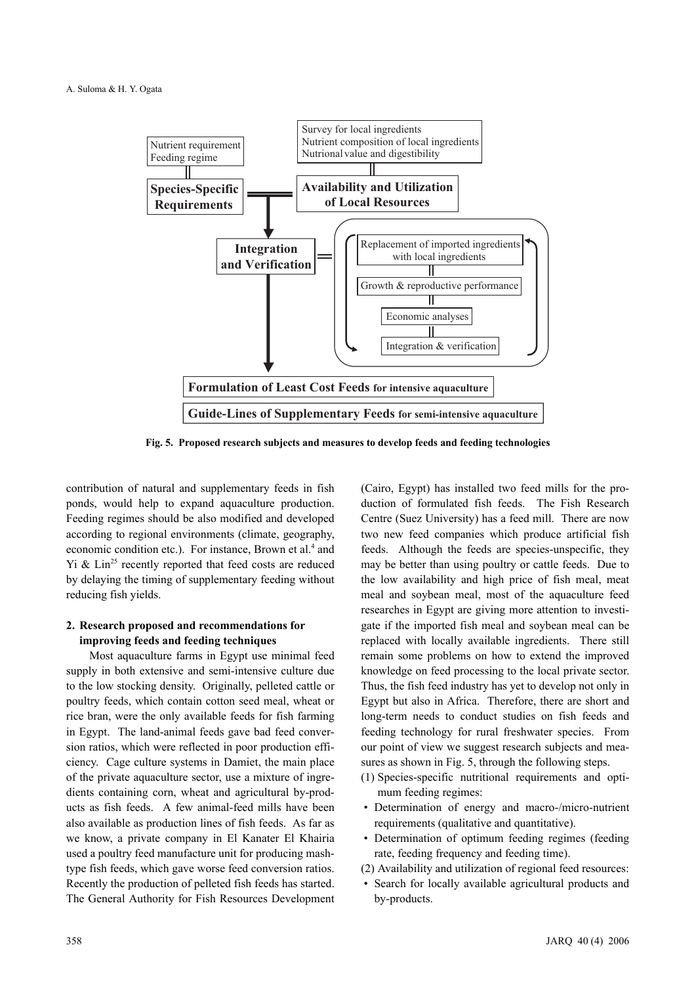

**Fig. 5. Proposed research subjects and measures to develop feeds and feeding technologies**

contribution of natural and supplementary feeds in fish ponds, would help to expand aquaculture production. Feeding regimes should be also modified and developed according to regional environments (climate, geography, economic condition etc.). For instance, Brown et al.<sup>4</sup> and  $Yi \& Lin<sup>25</sup> recently reported that feed costs are reduced$ by delaying the timing of supplementary feeding without reducing fish yields.

## **2. Research proposed and recommendations for improving feeds and feeding techniques**

Most aquaculture farms in Egypt use minimal feed supply in both extensive and semi-intensive culture due to the low stocking density. Originally, pelleted cattle or poultry feeds, which contain cotton seed meal, wheat or rice bran, were the only available feeds for fish farming in Egypt. The land-animal feeds gave bad feed conversion ratios, which were reflected in poor production efficiency. Cage culture systems in Damiet, the main place of the private aquaculture sector, use a mixture of ingredients containing corn, wheat and agricultural by-products as fish feeds. A few animal-feed mills have been also available as production lines of fish feeds. As far as we know, a private company in El Kanater El Khairia used a poultry feed manufacture unit for producing mashtype fish feeds, which gave worse feed conversion ratios. Recently the production of pelleted fish feeds has started. The General Authority for Fish Resources Development (Cairo, Egypt) has installed two feed mills for the production of formulated fish feeds. The Fish Research Centre (Suez University) has a feed mill. There are now two new feed companies which produce artificial fish feeds. Although the feeds are species-unspecific, they may be better than using poultry or cattle feeds. Due to the low availability and high price of fish meal, meat meal and soybean meal, most of the aquaculture feed researches in Egypt are giving more attention to investigate if the imported fish meal and soybean meal can be replaced with locally available ingredients. There still remain some problems on how to extend the improved knowledge on feed processing to the local private sector. Thus, the fish feed industry has yet to develop not only in Egypt but also in Africa. Therefore, there are short and long-term needs to conduct studies on fish feeds and feeding technology for rural freshwater species. From our point of view we suggest research subjects and measures as shown in Fig. 5, through the following steps.

- (1) Species-specific nutritional requirements and optimum feeding regimes:
- Determination of energy and macro-/micro-nutrient requirements (qualitative and quantitative).
- Determination of optimum feeding regimes (feeding rate, feeding frequency and feeding time).
- (2) Availability and utilization of regional feed resources:
- Search for locally available agricultural products and by-products.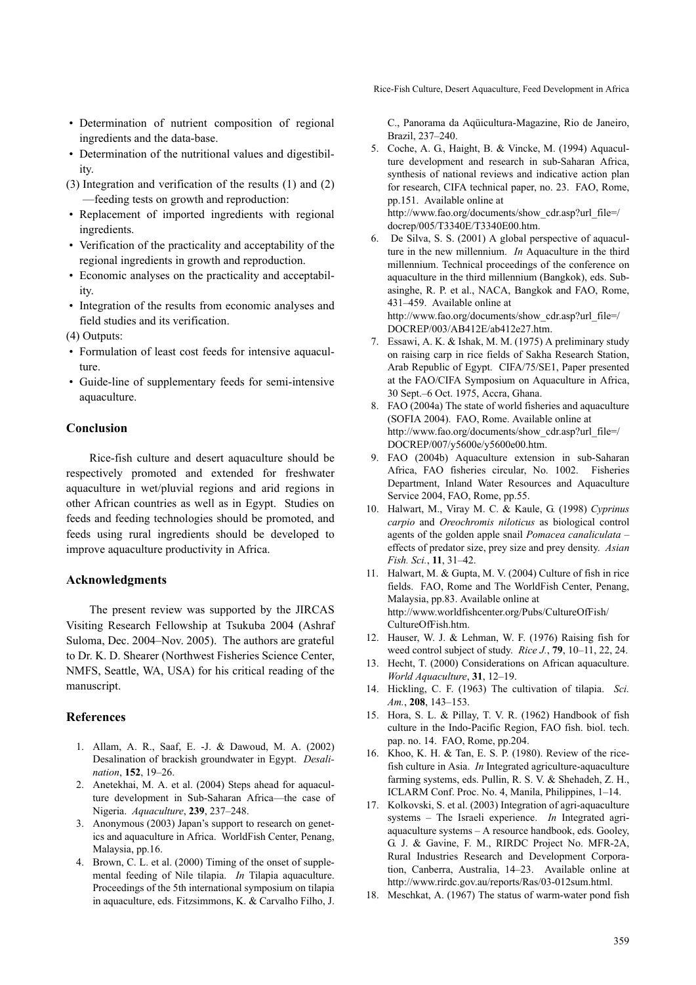Rice-Fish Culture, Desert Aquaculture, Feed Development in Africa

- Determination of nutrient composition of regional ingredients and the data-base.
- Determination of the nutritional values and digestibility.
- (3) Integration and verification of the results (1) and (2) —feeding tests on growth and reproduction:
- Replacement of imported ingredients with regional ingredients.
- Verification of the practicality and acceptability of the regional ingredients in growth and reproduction.
- Economic analyses on the practicality and acceptability.
- Integration of the results from economic analyses and field studies and its verification.
- (4) Outputs:
- Formulation of least cost feeds for intensive aquaculture.
- Guide-line of supplementary feeds for semi-intensive aquaculture.

## **Conclusion**

Rice-fish culture and desert aquaculture should be respectively promoted and extended for freshwater aquaculture in wet/pluvial regions and arid regions in other African countries as well as in Egypt. Studies on feeds and feeding technologies should be promoted, and feeds using rural ingredients should be developed to improve aquaculture productivity in Africa.

#### **Acknowledgments**

The present review was supported by the JIRCAS Visiting Research Fellowship at Tsukuba 2004 (Ashraf Suloma, Dec. 2004–Nov. 2005). The authors are grateful to Dr. K. D. Shearer (Northwest Fisheries Science Center, NMFS, Seattle, WA, USA) for his critical reading of the manuscript.

#### **References**

- 1. Allam, A. R., Saaf, E. -J. & Dawoud, M. A. (2002) Desalination of brackish groundwater in Egypt. *Desalination*, **152**, 19–26.
- 2. Anetekhai, M. A. et al. (2004) Steps ahead for aquaculture development in Sub-Saharan Africa—the case of Nigeria. *Aquaculture*, **239**, 237–248.
- 3. Anonymous (2003) Japan's support to research on genetics and aquaculture in Africa. WorldFish Center, Penang, Malaysia, pp.16.
- 4. Brown, C. L. et al. (2000) Timing of the onset of supplemental feeding of Nile tilapia. *In* Tilapia aquaculture. Proceedings of the 5th international symposium on tilapia in aquaculture, eds. Fitzsimmons, K. & Carvalho Filho, J.

C., Panorama da Aqüicultura-Magazine, Rio de Janeiro, Brazil, 237–240.

- 5. Coche, A. G., Haight, B. & Vincke, M. (1994) Aquaculture development and research in sub-Saharan Africa, synthesis of national reviews and indicative action plan for research, CIFA technical paper, no. 23. FAO, Rome, pp.151. Available online at http://www.fao.org/documents/show\_cdr.asp?url\_file=/ docrep/005/T3340E/T3340E00.htm.
- 6. De Silva, S. S. (2001) A global perspective of aquaculture in the new millennium. *In* Aquaculture in the third millennium. Technical proceedings of the conference on aquaculture in the third millennium (Bangkok), eds. Subasinghe, R. P. et al., NACA, Bangkok and FAO, Rome, 431–459. Available online at http://www.fao.org/documents/show\_cdr.asp?url\_file=/ DOCREP/003/AB412E/ab412e27.htm.
- 7. Essawi, A. K. & Ishak, M. M. (1975) A preliminary study on raising carp in rice fields of Sakha Research Station, Arab Republic of Egypt. CIFA/75/SE1, Paper presented at the FAO/CIFA Symposium on Aquaculture in Africa, 30 Sept.–6 Oct. 1975, Accra, Ghana.
- 8. FAO (2004a) The state of world fisheries and aquaculture (SOFIA 2004). FAO, Rome. Available online at http://www.fao.org/documents/show\_cdr.asp?url\_file=/ DOCREP/007/y5600e/y5600e00.htm.
- 9. FAO (2004b) Aquaculture extension in sub-Saharan Africa, FAO fisheries circular, No. 1002. Fisheries Department, Inland Water Resources and Aquaculture Service 2004, FAO, Rome, pp.55.
- 10. Halwart, M., Viray M. C. & Kaule, G. (1998) *Cyprinus carpio* and *Oreochromis niloticus* as biological control agents of the golden apple snail *Pomacea canaliculata* – effects of predator size, prey size and prey density. *Asian Fish. Sci.*, **11**, 31–42.
- 11. Halwart, M. & Gupta, M. V. (2004) Culture of fish in rice fields. FAO, Rome and The WorldFish Center, Penang, Malaysia, pp.83. Available online at http://www.worldfishcenter.org/Pubs/CultureOfFish/ CultureOfFish.htm.
- 12. Hauser, W. J. & Lehman, W. F. (1976) Raising fish for weed control subject of study. *Rice J.*, **79**, 10–11, 22, 24.
- 13. Hecht, T. (2000) Considerations on African aquaculture. *World Aquaculture*, **31**, 12–19.
- 14. Hickling, C. F. (1963) The cultivation of tilapia. *Sci. Am.*, **208**, 143–153.
- 15. Hora, S. L. & Pillay, T. V. R. (1962) Handbook of fish culture in the Indo-Pacific Region, FAO fish. biol. tech. pap. no. 14. FAO, Rome, pp.204.
- 16. Khoo, K. H. & Tan, E. S. P. (1980). Review of the ricefish culture in Asia. *In* Integrated agriculture-aquaculture farming systems, eds. Pullin, R. S. V. & Shehadeh, Z. H., ICLARM Conf. Proc. No. 4, Manila, Philippines, 1–14.
- 17. Kolkovski, S. et al. (2003) Integration of agri-aquaculture systems – The Israeli experience. *In* Integrated agriaquaculture systems – A resource handbook, eds. Gooley, G. J. & Gavine, F. M., RIRDC Project No. MFR-2A, Rural Industries Research and Development Corporation, Canberra, Australia, 14–23. Available online at http://www.rirdc.gov.au/reports/Ras/03-012sum.html.
- 18. Meschkat, A. (1967) The status of warm-water pond fish